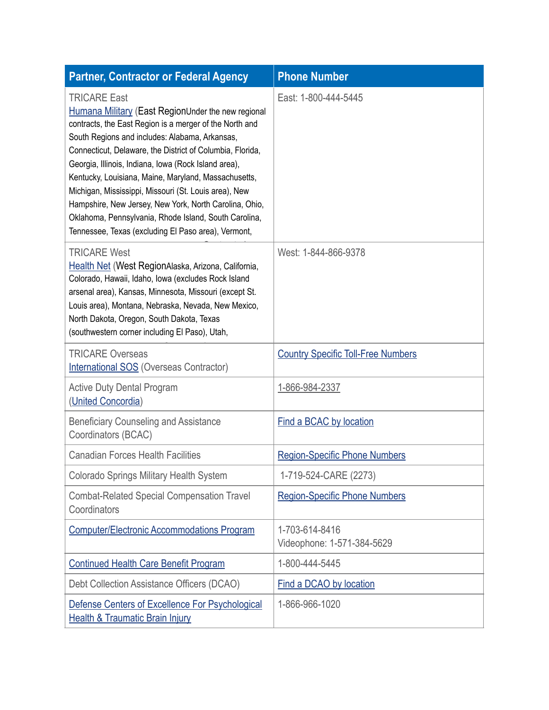| <b>Partner, Contractor or Federal Agency</b>                                                                                                                                                                                                                                                                                                                                                                                                                                                                                                                                                                  | <b>Phone Number</b>                          |
|---------------------------------------------------------------------------------------------------------------------------------------------------------------------------------------------------------------------------------------------------------------------------------------------------------------------------------------------------------------------------------------------------------------------------------------------------------------------------------------------------------------------------------------------------------------------------------------------------------------|----------------------------------------------|
| <b>TRICARE East</b><br><b>Humana Military (East RegionUnder the new regional</b><br>contracts, the East Region is a merger of the North and<br>South Regions and includes: Alabama, Arkansas,<br>Connecticut, Delaware, the District of Columbia, Florida,<br>Georgia, Illinois, Indiana, Iowa (Rock Island area),<br>Kentucky, Louisiana, Maine, Maryland, Massachusetts,<br>Michigan, Mississippi, Missouri (St. Louis area), New<br>Hampshire, New Jersey, New York, North Carolina, Ohio,<br>Oklahoma, Pennsylvania, Rhode Island, South Carolina,<br>Tennessee, Texas (excluding El Paso area), Vermont, | East: 1-800-444-5445                         |
| <b>TRICARE West</b><br>Health Net (West RegionAlaska, Arizona, California,<br>Colorado, Hawaii, Idaho, Iowa (excludes Rock Island<br>arsenal area), Kansas, Minnesota, Missouri (except St.<br>Louis area), Montana, Nebraska, Nevada, New Mexico,<br>North Dakota, Oregon, South Dakota, Texas<br>(southwestern corner including El Paso), Utah,                                                                                                                                                                                                                                                             | West: 1-844-866-9378                         |
| <b>TRICARE Overseas</b><br><b>International SOS (Overseas Contractor)</b>                                                                                                                                                                                                                                                                                                                                                                                                                                                                                                                                     | <b>Country Specific Toll-Free Numbers</b>    |
| <b>Active Duty Dental Program</b><br>(United Concordia)                                                                                                                                                                                                                                                                                                                                                                                                                                                                                                                                                       | 1-866-984-2337                               |
| <b>Beneficiary Counseling and Assistance</b><br>Coordinators (BCAC)                                                                                                                                                                                                                                                                                                                                                                                                                                                                                                                                           | <b>Find a BCAC by location</b>               |
| <b>Canadian Forces Health Facilities</b>                                                                                                                                                                                                                                                                                                                                                                                                                                                                                                                                                                      | <b>Region-Specific Phone Numbers</b>         |
| <b>Colorado Springs Military Health System</b>                                                                                                                                                                                                                                                                                                                                                                                                                                                                                                                                                                | 1-719-524-CARE (2273)                        |
| <b>Combat-Related Special Compensation Travel</b><br>Coordinators                                                                                                                                                                                                                                                                                                                                                                                                                                                                                                                                             | <b>Region-Specific Phone Numbers</b>         |
| <b>Computer/Electronic Accommodations Program</b>                                                                                                                                                                                                                                                                                                                                                                                                                                                                                                                                                             | 1-703-614-8416<br>Videophone: 1-571-384-5629 |
| <b>Continued Health Care Benefit Program</b>                                                                                                                                                                                                                                                                                                                                                                                                                                                                                                                                                                  | 1-800-444-5445                               |
| Debt Collection Assistance Officers (DCAO)                                                                                                                                                                                                                                                                                                                                                                                                                                                                                                                                                                    | Find a DCAO by location                      |
| Defense Centers of Excellence For Psychological<br><b>Health &amp; Traumatic Brain Injury</b>                                                                                                                                                                                                                                                                                                                                                                                                                                                                                                                 | 1-866-966-1020                               |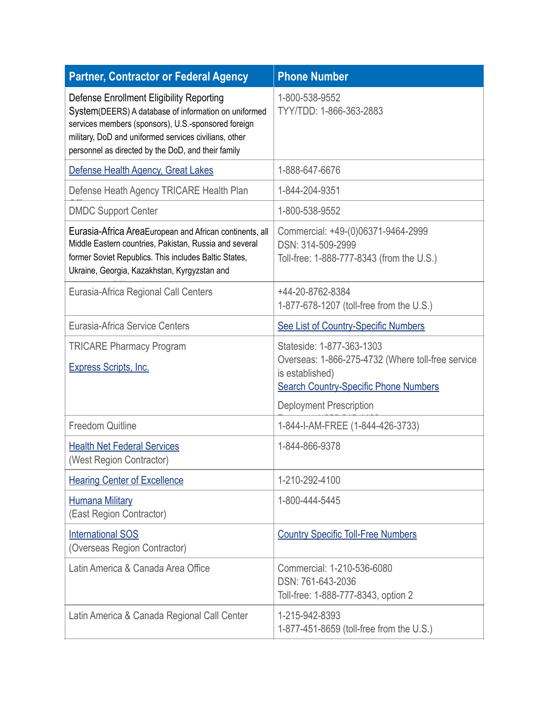| <b>Partner, Contractor or Federal Agency</b>                                                                                                                                                                                                                           | <b>Phone Number</b>                                                                                                                               |
|------------------------------------------------------------------------------------------------------------------------------------------------------------------------------------------------------------------------------------------------------------------------|---------------------------------------------------------------------------------------------------------------------------------------------------|
| Defense Enrollment Eligibility Reporting<br>System(DEERS) A database of information on uniformed<br>services members (sponsors), U.S.-sponsored foreign<br>military, DoD and uniformed services civilians, other<br>personnel as directed by the DoD, and their family | 1-800-538-9552<br>TYY/TDD: 1-866-363-2883                                                                                                         |
| Defense Health Agency, Great Lakes                                                                                                                                                                                                                                     | 1-888-647-6676                                                                                                                                    |
| Defense Heath Agency TRICARE Health Plan                                                                                                                                                                                                                               | 1-844-204-9351                                                                                                                                    |
| <b>DMDC Support Center</b>                                                                                                                                                                                                                                             | 1-800-538-9552                                                                                                                                    |
| Eurasia-Africa AreaEuropean and African continents, all<br>Middle Eastern countries, Pakistan, Russia and several<br>former Soviet Republics. This includes Baltic States,<br>Ukraine, Georgia, Kazakhstan, Kyrgyzstan and                                             | Commercial: +49-(0)06371-9464-2999<br>DSN: 314-509-2999<br>Toll-free: 1-888-777-8343 (from the U.S.)                                              |
| Eurasia-Africa Regional Call Centers                                                                                                                                                                                                                                   | +44-20-8762-8384<br>1-877-678-1207 (toll-free from the U.S.)                                                                                      |
| Eurasia-Africa Service Centers                                                                                                                                                                                                                                         | <b>See List of Country-Specific Numbers</b>                                                                                                       |
| <b>TRICARE Pharmacy Program</b><br><b>Express Scripts, Inc.</b>                                                                                                                                                                                                        | Stateside: 1-877-363-1303<br>Overseas: 1-866-275-4732 (Where toll-free service<br>is established)<br><b>Search Country-Specific Phone Numbers</b> |
|                                                                                                                                                                                                                                                                        | <b>Deployment Prescription</b>                                                                                                                    |
| <b>Freedom Quitline</b>                                                                                                                                                                                                                                                | 1-844-I-AM-FREE (1-844-426-3733)                                                                                                                  |
| <b>Health Net Federal Services</b><br>(West Region Contractor)                                                                                                                                                                                                         | 1-844-866-9378                                                                                                                                    |
| <b>Hearing Center of Excellence</b>                                                                                                                                                                                                                                    | 1-210-292-4100                                                                                                                                    |
| <b>Humana Military</b><br>(East Region Contractor)                                                                                                                                                                                                                     | 1-800-444-5445                                                                                                                                    |
| <b>International SOS</b><br>(Overseas Region Contractor)                                                                                                                                                                                                               | <b>Country Specific Toll-Free Numbers</b>                                                                                                         |
| Latin America & Canada Area Office                                                                                                                                                                                                                                     | Commercial: 1-210-536-6080<br>DSN: 761-643-2036<br>Toll-free: 1-888-777-8343, option 2                                                            |
| Latin America & Canada Regional Call Center                                                                                                                                                                                                                            | 1-215-942-8393<br>1-877-451-8659 (toll-free from the U.S.)                                                                                        |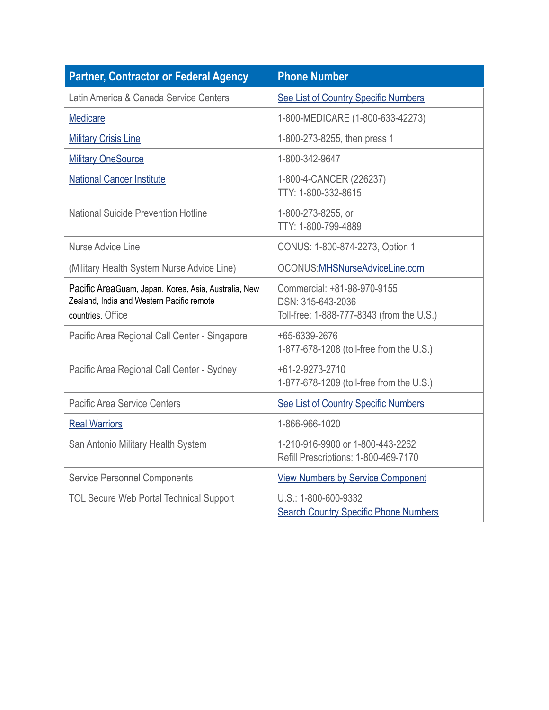| <b>Partner, Contractor or Federal Agency</b>                                                                           | <b>Phone Number</b>                                                                           |
|------------------------------------------------------------------------------------------------------------------------|-----------------------------------------------------------------------------------------------|
| Latin America & Canada Service Centers                                                                                 | <b>See List of Country Specific Numbers</b>                                                   |
| Medicare                                                                                                               | 1-800-MEDICARE (1-800-633-42273)                                                              |
| <b>Military Crisis Line</b>                                                                                            | 1-800-273-8255, then press 1                                                                  |
| <b>Military OneSource</b>                                                                                              | 1-800-342-9647                                                                                |
| <b>National Cancer Institute</b>                                                                                       | 1-800-4-CANCER (226237)<br>TTY: 1-800-332-8615                                                |
| <b>National Suicide Prevention Hotline</b>                                                                             | 1-800-273-8255, or<br>TTY: 1-800-799-4889                                                     |
| Nurse Advice Line                                                                                                      | CONUS: 1-800-874-2273, Option 1                                                               |
| (Military Health System Nurse Advice Line)                                                                             | OCONUS: MHSNurseAdviceLine.com                                                                |
| Pacific AreaGuam, Japan, Korea, Asia, Australia, New<br>Zealand, India and Western Pacific remote<br>countries. Office | Commercial: +81-98-970-9155<br>DSN: 315-643-2036<br>Toll-free: 1-888-777-8343 (from the U.S.) |
| Pacific Area Regional Call Center - Singapore                                                                          | +65-6339-2676<br>1-877-678-1208 (toll-free from the U.S.)                                     |
| Pacific Area Regional Call Center - Sydney                                                                             | +61-2-9273-2710<br>1-877-678-1209 (toll-free from the U.S.)                                   |
| <b>Pacific Area Service Centers</b>                                                                                    | <b>See List of Country Specific Numbers</b>                                                   |
| <b>Real Warriors</b>                                                                                                   | 1-866-966-1020                                                                                |
| San Antonio Military Health System                                                                                     | 1-210-916-9900 or 1-800-443-2262<br>Refill Prescriptions: 1-800-469-7170                      |
| <b>Service Personnel Components</b>                                                                                    | <b>View Numbers by Service Component</b>                                                      |
| <b>TOL Secure Web Portal Technical Support</b>                                                                         | U.S.: 1-800-600-9332<br><b>Search Country Specific Phone Numbers</b>                          |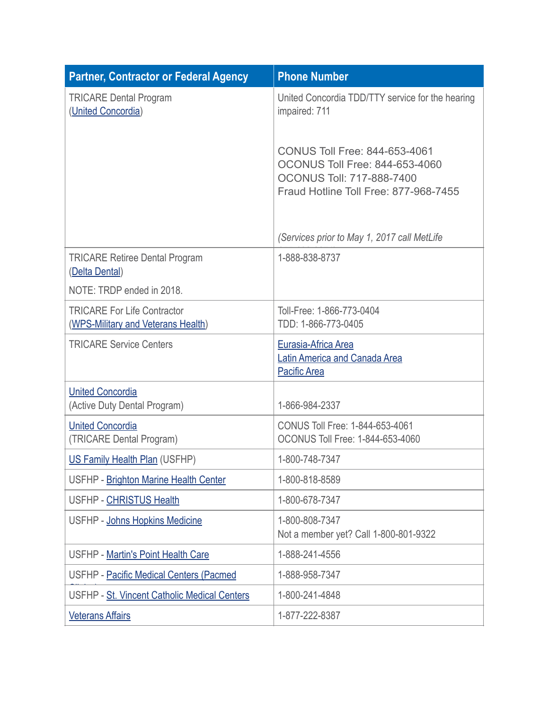| <b>Partner, Contractor or Federal Agency</b>                             | <b>Phone Number</b>                                                                                                                                        |
|--------------------------------------------------------------------------|------------------------------------------------------------------------------------------------------------------------------------------------------------|
| <b>TRICARE Dental Program</b><br>(United Concordia)                      | United Concordia TDD/TTY service for the hearing<br>impaired: 711                                                                                          |
|                                                                          | <b>CONUS Toll Free: 844-653-4061</b><br><b>OCONUS Toll Free: 844-653-4060</b><br><b>OCONUS Toll: 717-888-7400</b><br>Fraud Hotline Toll Free: 877-968-7455 |
|                                                                          | (Services prior to May 1, 2017 call MetLife                                                                                                                |
| <b>TRICARE Retiree Dental Program</b><br>(Delta Dental)                  | 1-888-838-8737                                                                                                                                             |
| NOTE: TRDP ended in 2018.                                                |                                                                                                                                                            |
| <b>TRICARE For Life Contractor</b><br>(WPS-Military and Veterans Health) | Toll-Free: 1-866-773-0404<br>TDD: 1-866-773-0405                                                                                                           |
| <b>TRICARE Service Centers</b>                                           | Eurasia-Africa Area<br><b>Latin America and Canada Area</b><br>Pacific Area                                                                                |
| <b>United Concordia</b><br>(Active Duty Dental Program)                  | 1-866-984-2337                                                                                                                                             |
| <b>United Concordia</b><br>(TRICARE Dental Program)                      | CONUS Toll Free: 1-844-653-4061<br><b>OCONUS Toll Free: 1-844-653-4060</b>                                                                                 |
| US Family Health Plan (USFHP)                                            | 1-800-748-7347                                                                                                                                             |
| <b>USFHP - Brighton Marine Health Center</b>                             | 1-800-818-8589                                                                                                                                             |
| USFHP - CHRISTUS Health                                                  | 1-800-678-7347                                                                                                                                             |
| USFHP - Johns Hopkins Medicine                                           | 1-800-808-7347<br>Not a member yet? Call 1-800-801-9322                                                                                                    |
| <b>USFHP - Martin's Point Health Care</b>                                | 1-888-241-4556                                                                                                                                             |
| <b>USFHP - Pacific Medical Centers (Pacmed</b>                           | 1-888-958-7347                                                                                                                                             |
| USFHP - St. Vincent Catholic Medical Centers                             | 1-800-241-4848                                                                                                                                             |
| <b>Veterans Affairs</b>                                                  | 1-877-222-8387                                                                                                                                             |